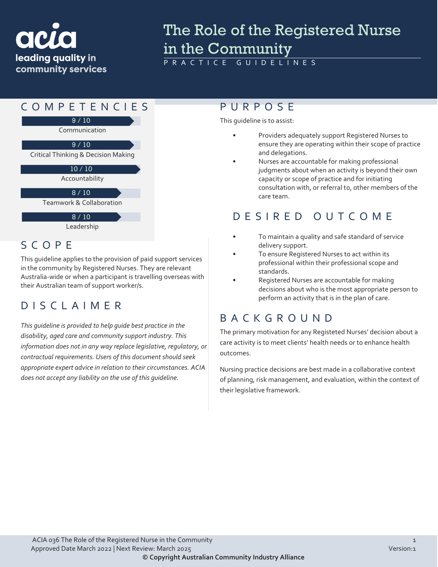# leading quality in community services

## The Role of the Registered Nurse In the Community

GUIDELINES



#### SCOPE

This guideline applies to the provision of paid support services in the community by Registered Nurses. They are relevant Australia-wide or when a participant is travelling overseas with their Australian team of support worker/s.

#### DISCLAIMER

*This guideline is provided to help guide best practice in the disability, aged care and community support industry. This information does not in any way replace legislative, regulatory, or contractual requirements. Users of this document should seek appropriate expert advice in relation to their circumstances. ACIA does not accept any liability on the use of this guideline.*

This guideline is to assist:

- Providers adequately support Registered Nurses to ensure they are operating within their scope of practice and delegations.
- Nurses are accountable for making professional judgments about when an activity is beyond their own capacity or scope of practice and for initiating consultation with, or referral to, other members of the care team.

#### DESIRED OUTCOME

- To maintain a quality and safe standard of service delivery support.
- To ensure Registered Nurses to act within its professional within their professional scope and standards.
- Registered Nurses are accountable for making decisions about who is the most appropriate person to perform an activity that is in the plan of care.

#### BACKGROUND

The primary motivation for any Registeted Nurses' decision about a care activity is to meet clients' health needs or to enhance health outcomes.

Nursing practice decisions are best made in a collaborative context of planning, risk management, and evaluation, within the context of their legislative framework.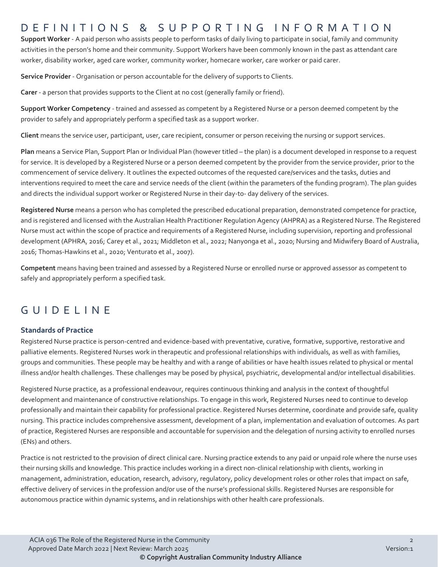#### DEFINITIONS & SUPPORTING INFORMATIO N

**Support Worker** - A paid person who assists people to perform tasks of daily living to participate in social, family and community activities in the person's home and their community. Support Workers have been commonly known in the past as attendant care worker, disability worker, aged care worker, community worker, homecare worker, care worker or paid carer.

**Service Provider** - Organisation or person accountable for the delivery of supports to Clients.

**Carer** - a person that provides supports to the Client at no cost (generally family or friend).

**Support Worker Competency** - trained and assessed as competent by a Registered Nurse or a person deemed competent by the provider to safely and appropriately perform a specified task as a support worker.

**Client** means the service user, participant, user, care recipient, consumer or person receiving the nursing or support services.

**Plan** means a Service Plan, Support Plan or Individual Plan (however titled – the plan) is a document developed in response to a request for service. It is developed by a Registered Nurse or a person deemed competent by the provider from the service provider, prior to the commencement of service delivery. It outlines the expected outcomes of the requested care/services and the tasks, duties and interventions required to meet the care and service needs of the client (within the parameters of the funding program). The plan guides and directs the individual support worker or Registered Nurse in their day-to- day delivery of the services.

**Registered Nurse** means a person who has completed the prescribed educational preparation, demonstrated competence for practice, and is registered and licensed with the Australian Health Practitioner Regulation Agency (AHPRA) as a Registered Nurse. The Registered Nurse must act within the scope of practice and requirements of a Registered Nurse, including supervision, reporting and professional development (APHRA, 2016; Carey et al., 2021; Middleton et al., 2022; Nanyonga et al., 2020; Nursing and Midwifery Board of Australia, 2016; Thomas-Hawkins et al., 2020; Venturato et al., 2007).

**Competent** means having been trained and assessed by a Registered Nurse or enrolled nurse or approved assessor as competent to safely and appropriately perform a specified task.

#### GUIDELINE

#### **Standards of Practice**

Registered Nurse practice is person-centred and evidence-based with preventative, curative, formative, supportive, restorative and palliative elements. Registered Nurses work in therapeutic and professional relationships with individuals, as well as with families, groups and communities. These people may be healthy and with a range of abilities or have health issues related to physical or mental illness and/or health challenges. These challenges may be posed by physical, psychiatric, developmental and/or intellectual disabilities.

Registered Nurse practice, as a professional endeavour, requires continuous thinking and analysis in the context of thoughtful development and maintenance of constructive relationships. To engage in this work, Registered Nurses need to continue to develop professionally and maintain their capability for professional practice. Registered Nurses determine, coordinate and provide safe, quality nursing. This practice includes comprehensive assessment, development of a plan, implementation and evaluation of outcomes. As part of practice, Registered Nurses are responsible and accountable for supervision and the delegation of nursing activity to enrolled nurses (ENs) and others.

Practice is not restricted to the provision of direct clinical care. Nursing practice extends to any paid or unpaid role where the nurse uses their nursing skills and knowledge. This practice includes working in a direct non-clinical relationship with clients, working in management, administration, education, research, advisory, regulatory, policy development roles or other roles that impact on safe, effective delivery of services in the profession and/or use of the nurse's professional skills. Registered Nurses are responsible for autonomous practice within dynamic systems, and in relationships with other health care professionals.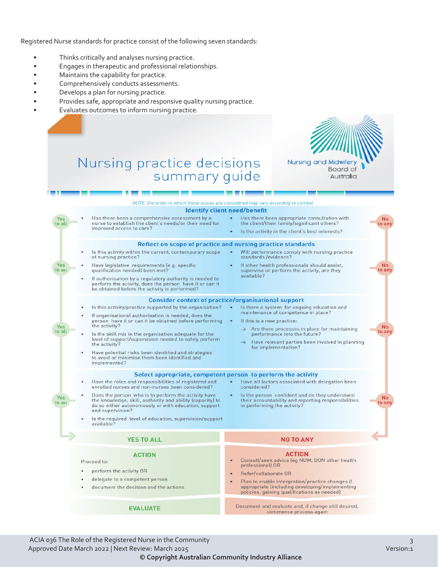Registered Nurse standards for practice consist of the following seven standards:

- Thinks critically and analyses nursing practice.
- Engages in therapeutic and professional relationships.
- Maintains the capability for practice.
- Comprehensively conducts assessments.
- Develops a plan for nursing practice.
- Provides safe, appropriate and responsive quality nursing practice.
- Evaluates outcomes to inform nursing practice.



### Nursing practice decisions summary guide



**EVALUATE** 

Document and evaluate and, if change still desired, commence process again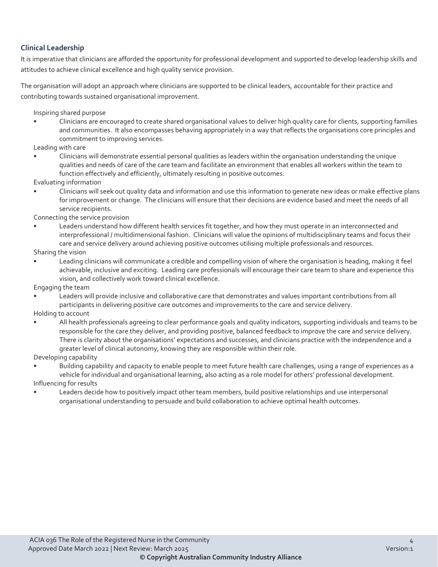#### **Clinical Leadership**

It is imperative that clinicians are afforded the opportunity for professional development and supported to develop leadership skills and attitudes to achieve clinical excellence and high quality service provision.

The organisation will adopt an approach where clinicians are supported to be clinical leaders, accountable for their practice and contributing towards sustained organisational improvement.

Inspiring shared purpose

• Clinicians are encouraged to create shared organisational values to deliver high quality care for clients, supporting families and communities. It also encompasses behaving appropriately in a way that reflects the organisations core principles and commitment to improving services.

Leading with care

• Clinicians will demonstrate essential personal qualities as leaders within the organisation understanding the unique qualities and needs of care of the care team and facilitate an environment that enables all workers within the team to function effectively and efficiently, ultimately resulting in positive outcomes.

Evaluating information

• Clinicians will seek out quality data and information and use this information to generate new ideas or make effective plans for improvement or change. The clinicians will ensure that their decisions are evidence based and meet the needs of all service recipients.

Connecting the service provision

• Leaders understand how different health services fit together, and how they must operate in an interconnected and interprofessional / multidimensional fashion. Clinicians will value the opinions of multidisciplinary teams and focus their care and service delivery around achieving positive outcomes utilising multiple professionals and resources.

Sharing the vision

• Leading clinicians will communicate a credible and compelling vision of where the organisation is heading, making it feel achievable, inclusive and exciting. Leading care professionals will encourage their care team to share and experience this vision, and collectively work toward clinical excellence.

Engaging the team

• Leaders will provide inclusive and collaborative care that demonstrates and values important contributions from all participants in delivering positive care outcomes and improvements to the care and service delivery.

Holding to account

• All health professionals agreeing to clear performance goals and quality indicators, supporting individuals and teams to be responsible for the care they deliver, and providing positive, balanced feedback to improve the care and service delivery. There is clarity about the organisations' expectations and successes, and clinicians practice with the independence and a greater level of clinical autonomy, knowing they are responsible within their role.

Developing capability

- Building capability and capacity to enable people to meet future health care challenges, using a range of experiences as a vehicle for individual and organisational learning, also acting as a role model for others' professional development. Influencing for results
- Leaders decide how to positively impact other team members, build positive relationships and use interpersonal organisational understanding to persuade and build collaboration to achieve optimal health outcomes.